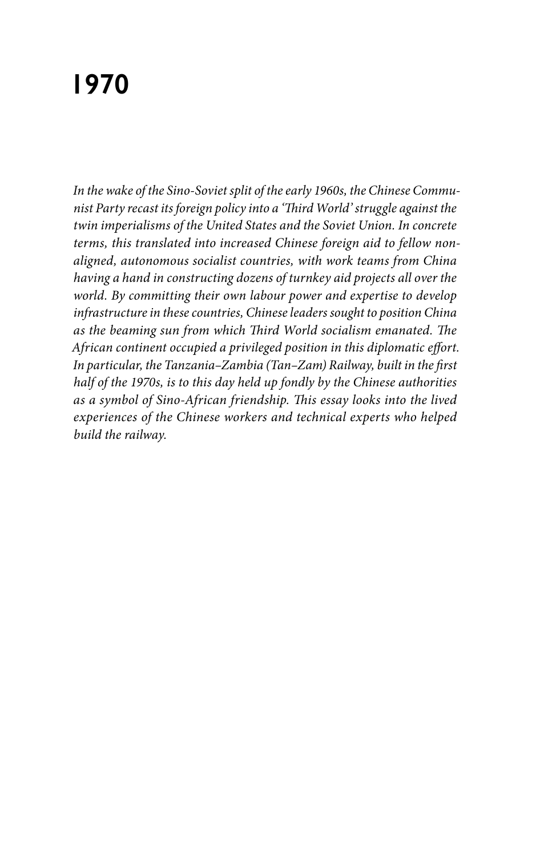# **1970**

*In the wake of the Sino-Soviet split of the early 1960s, the Chinese Communist Party recast its foreign policy into a 'Third World' struggle against the twin imperialisms of the United States and the Soviet Union. In concrete terms, this translated into increased Chinese foreign aid to fellow nonaligned, autonomous socialist countries, with work teams from China having a hand in constructing dozens of turnkey aid projects all over the world. By committing their own labour power and expertise to develop infrastructure in these countries, Chinese leaders sought to position China as the beaming sun from which Third World socialism emanated. The African continent occupied a privileged position in this diplomatic effort. In particular, the Tanzania–Zambia (Tan–Zam) Railway, built in the first half of the 1970s, is to this day held up fondly by the Chinese authorities as a symbol of Sino-African friendship. This essay looks into the lived experiences of the Chinese workers and technical experts who helped build the railway.*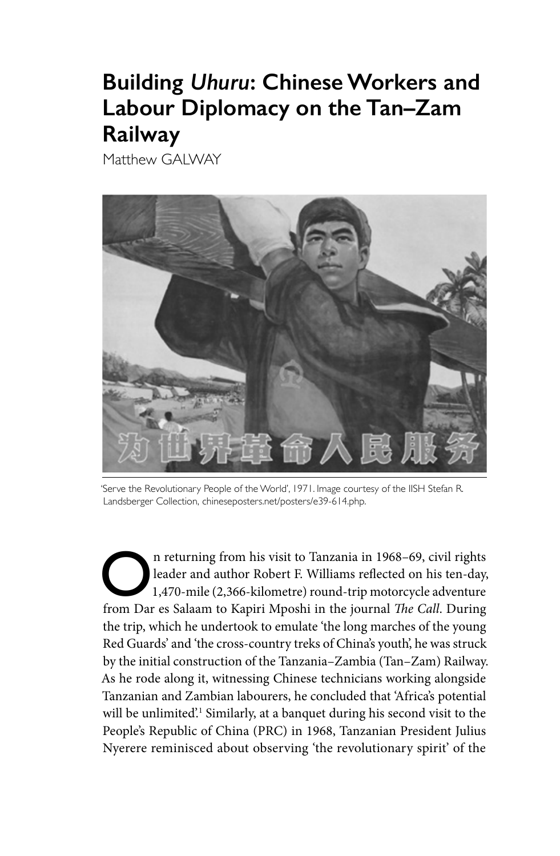# **Building** *Uhuru***: Chinese Workers and Labour Diplomacy on the Tan–Zam Railway**

Matthew GALWAY



'Serve the Revolutionary People of the World', 1971. Image courtesy of the IISH Stefan R. Landsberger Collection, chineseposters.net/posters/e39-614.php.

On returning from his visit to Tanzania in 1968–69, civil rights<br>leader and author Robert F. Williams reflected on his ten-day,<br>1,470-mile (2,366-kilometre) round-trip motorcycle adventure<br>from Day of Seleom to Kaniri Much leader and author Robert F. Williams reflected on his ten-day, 1,470-mile (2,366-kilometre) round-trip motorcycle adventure from Dar es Salaam to Kapiri Mposhi in the journal *The Call*. During the trip, which he undertook to emulate 'the long marches of the young Red Guards' and 'the cross-country treks of China's youth', he was struck by the initial construction of the Tanzania–Zambia (Tan–Zam) Railway. As he rode along it, witnessing Chinese technicians working alongside Tanzanian and Zambian labourers, he concluded that 'Africa's potential will be unlimited'.<sup>1</sup> Similarly, at a banquet during his second visit to the People's Republic of China (PRC) in 1968, Tanzanian President Julius Nyerere reminisced about observing 'the revolutionary spirit' of the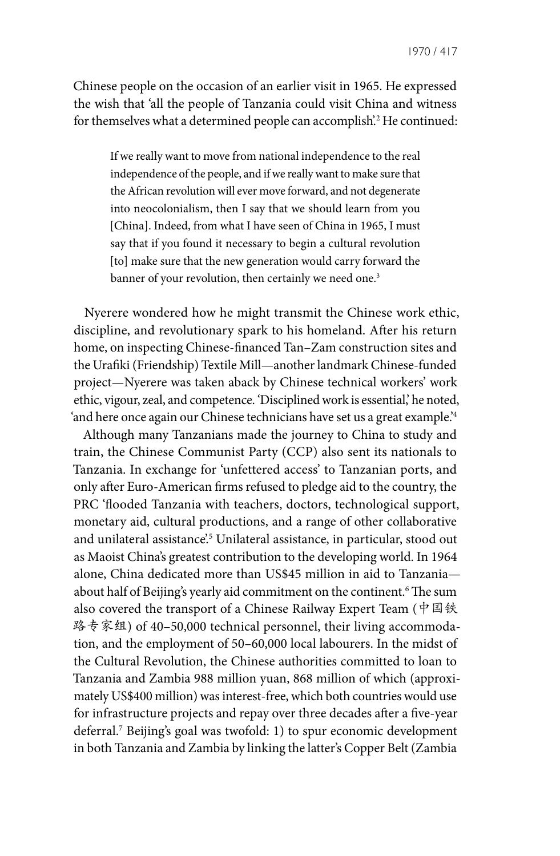Chinese people on the occasion of an earlier visit in 1965. He expressed the wish that 'all the people of Tanzania could visit China and witness for themselves what a determined people can accomplish'.2 He continued:

If we really want to move from national independence to the real independence of the people, and if we really want to make sure that the African revolution will ever move forward, and not degenerate into neocolonialism, then I say that we should learn from you [China]. Indeed, from what I have seen of China in 1965, I must say that if you found it necessary to begin a cultural revolution [to] make sure that the new generation would carry forward the banner of your revolution, then certainly we need one.<sup>3</sup>

Nyerere wondered how he might transmit the Chinese work ethic, discipline, and revolutionary spark to his homeland. After his return home, on inspecting Chinese-financed Tan–Zam construction sites and the Urafiki (Friendship) Textile Mill—another landmark Chinese-funded project—Nyerere was taken aback by Chinese technical workers' work ethic, vigour, zeal, and competence. 'Disciplined work is essential,' he noted, 'and here once again our Chinese technicians have set us a great example.'4

Although many Tanzanians made the journey to China to study and train, the Chinese Communist Party (CCP) also sent its nationals to Tanzania. In exchange for 'unfettered access' to Tanzanian ports, and only after Euro-American firms refused to pledge aid to the country, the PRC 'flooded Tanzania with teachers, doctors, technological support, monetary aid, cultural productions, and a range of other collaborative and unilateral assistance.<sup>5</sup> Unilateral assistance, in particular, stood out as Maoist China's greatest contribution to the developing world. In 1964 alone, China dedicated more than US\$45 million in aid to Tanzania about half of Beijing's yearly aid commitment on the continent.6 The sum also covered the transport of a Chinese Railway Expert Team (中国铁 路专家组) of 40-50,000 technical personnel, their living accommodation, and the employment of 50–60,000 local labourers. In the midst of the Cultural Revolution, the Chinese authorities committed to loan to Tanzania and Zambia 988 million yuan, 868 million of which (approximately US\$400 million) was interest-free, which both countries would use for infrastructure projects and repay over three decades after a five-year deferral.7 Beijing's goal was twofold: 1) to spur economic development in both Tanzania and Zambia by linking the latter's Copper Belt (Zambia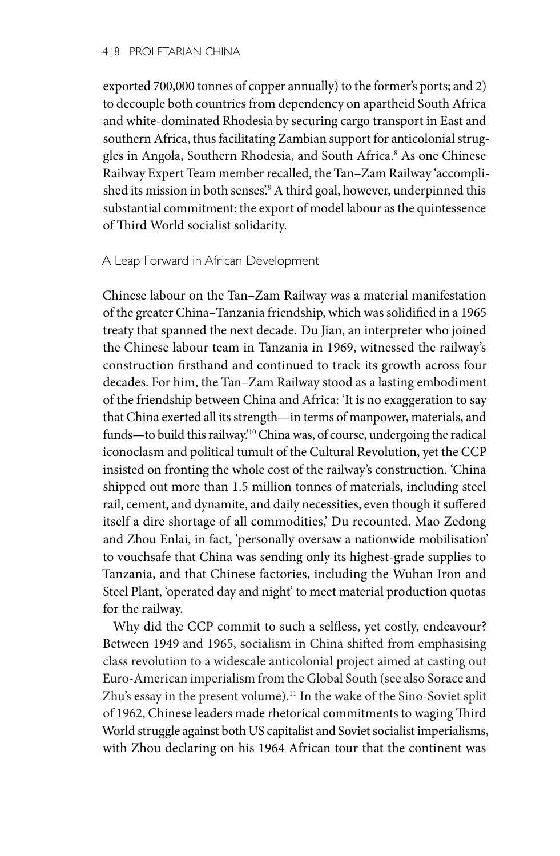#### 418 PROLETARIAN CHINA

exported 700,000 tonnes of copper annually) to the former's ports; and 2) to decouple both countries from dependency on apartheid South Africa and white-dominated Rhodesia by securing cargo transport in East and southern Africa, thus facilitating Zambian support for anticolonial struggles in Angola, Southern Rhodesia, and South Africa.8 As one Chinese Railway Expert Team member recalled, the Tan–Zam Railway 'accomplished its mission in both senses'.9 A third goal, however, underpinned this substantial commitment: the export of model labour as the quintessence of Third World socialist solidarity.

## A Leap Forward in African Development

Chinese labour on the Tan–Zam Railway was a material manifestation of the greater China–Tanzania friendship, which was solidified in a 1965 treaty that spanned the next decade. Du Jian, an interpreter who joined the Chinese labour team in Tanzania in 1969, witnessed the railway's construction firsthand and continued to track its growth across four decades. For him, the Tan–Zam Railway stood as a lasting embodiment of the friendship between China and Africa: 'It is no exaggeration to say that China exerted all its strength—in terms of manpower, materials, and funds—to build this railway.'10 China was, of course, undergoing the radical iconoclasm and political tumult of the Cultural Revolution, yet the CCP insisted on fronting the whole cost of the railway's construction. 'China shipped out more than 1.5 million tonnes of materials, including steel rail, cement, and dynamite, and daily necessities, even though it suffered itself a dire shortage of all commodities,' Du recounted. Mao Zedong and Zhou Enlai, in fact, 'personally oversaw a nationwide mobilisation' to vouchsafe that China was sending only its highest-grade supplies to Tanzania, and that Chinese factories, including the Wuhan Iron and Steel Plant, 'operated day and night' to meet material production quotas for the railway.

Why did the CCP commit to such a selfless, yet costly, endeavour? Between 1949 and 1965, socialism in China shifted from emphasising class revolution to a widescale anticolonial project aimed at casting out Euro-American imperialism from the Global South (see also Sorace and Zhu's essay in the present volume).<sup>11</sup> In the wake of the Sino-Soviet split of 1962, Chinese leaders made rhetorical commitments to waging Third World struggle against both US capitalist and Soviet socialist imperialisms, with Zhou declaring on his 1964 African tour that the continent was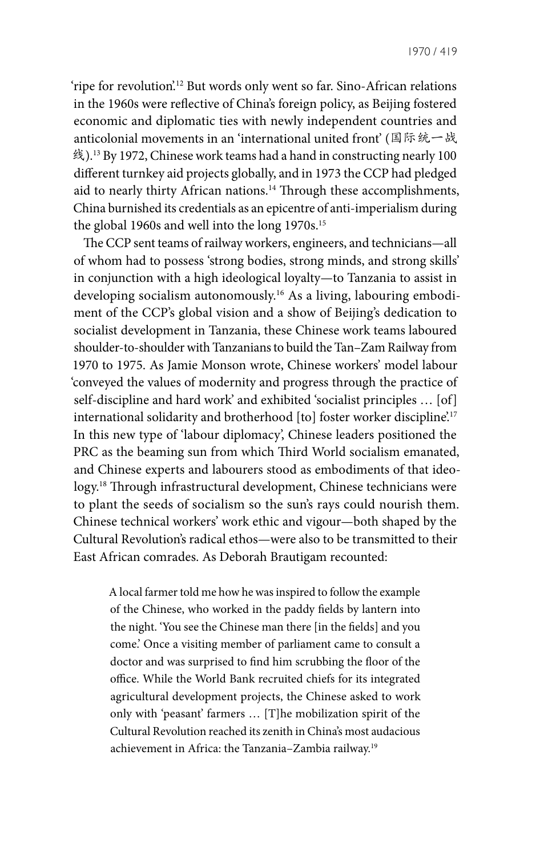'ripe for revolution'.12 But words only went so far. Sino-African relations in the 1960s were reflective of China's foreign policy, as Beijing fostered economic and diplomatic ties with newly independent countries and anticolonial movements in an 'international united front' (国际统一战 线).<sup>13</sup> By 1972, Chinese work teams had a hand in constructing nearly 100 different turnkey aid projects globally, and in 1973 the CCP had pledged aid to nearly thirty African nations.<sup>14</sup> Through these accomplishments, China burnished its credentials as an epicentre of anti-imperialism during the global 1960s and well into the long 1970s.<sup>15</sup>

The CCP sent teams of railway workers, engineers, and technicians—all of whom had to possess 'strong bodies, strong minds, and strong skills' in conjunction with a high ideological loyalty—to Tanzania to assist in developing socialism autonomously.16 As a living, labouring embodiment of the CCP's global vision and a show of Beijing's dedication to socialist development in Tanzania, these Chinese work teams laboured shoulder-to-shoulder with Tanzanians to build the Tan–Zam Railway from 1970 to 1975. As Jamie Monson wrote, Chinese workers' model labour 'conveyed the values of modernity and progress through the practice of self-discipline and hard work' and exhibited 'socialist principles … [of] international solidarity and brotherhood [to] foster worker discipline.<sup>17</sup> In this new type of 'labour diplomacy', Chinese leaders positioned the PRC as the beaming sun from which Third World socialism emanated, and Chinese experts and labourers stood as embodiments of that ideology.18 Through infrastructural development, Chinese technicians were to plant the seeds of socialism so the sun's rays could nourish them. Chinese technical workers' work ethic and vigour—both shaped by the Cultural Revolution's radical ethos—were also to be transmitted to their East African comrades. As Deborah Brautigam recounted:

A local farmer told me how he was inspired to follow the example of the Chinese, who worked in the paddy fields by lantern into the night. 'You see the Chinese man there [in the fields] and you come.' Once a visiting member of parliament came to consult a doctor and was surprised to find him scrubbing the floor of the office. While the World Bank recruited chiefs for its integrated agricultural development projects, the Chinese asked to work only with 'peasant' farmers … [T]he mobilization spirit of the Cultural Revolution reached its zenith in China's most audacious achievement in Africa: the Tanzania–Zambia railway.19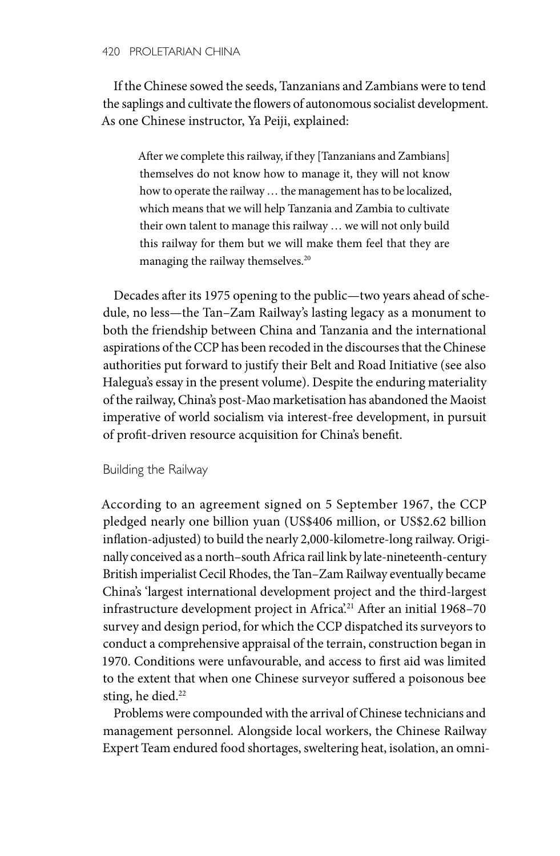#### 420 PROLETARIAN CHINA

If the Chinese sowed the seeds, Tanzanians and Zambians were to tend the saplings and cultivate the flowers of autonomous socialist development. As one Chinese instructor, Ya Peiji, explained:

After we complete this railway, if they [Tanzanians and Zambians] themselves do not know how to manage it, they will not know how to operate the railway … the management has to be localized, which means that we will help Tanzania and Zambia to cultivate their own talent to manage this railway … we will not only build this railway for them but we will make them feel that they are managing the railway themselves.20

Decades after its 1975 opening to the public—two years ahead of schedule, no less—the Tan–Zam Railway's lasting legacy as a monument to both the friendship between China and Tanzania and the international aspirations of the CCP has been recoded in the discourses that the Chinese authorities put forward to justify their Belt and Road Initiative (see also Halegua's essay in the present volume). Despite the enduring materiality of the railway, China's post-Mao marketisation has abandoned the Maoist imperative of world socialism via interest-free development, in pursuit of profit-driven resource acquisition for China's benefit.

Building the Railway

According to an agreement signed on 5 September 1967, the CCP pledged nearly one billion yuan (US\$406 million, or US\$2.62 billion inflation-adjusted) to build the nearly 2,000-kilometre-long railway. Originally conceived as a north–south Africa rail link by late-nineteenth-century British imperialist Cecil Rhodes, the Tan–Zam Railway eventually became China's 'largest international development project and the third-largest infrastructure development project in Africa<sup>21</sup> After an initial 1968-70 survey and design period, for which the CCP dispatched its surveyors to conduct a comprehensive appraisal of the terrain, construction began in 1970. Conditions were unfavourable, and access to first aid was limited to the extent that when one Chinese surveyor suffered a poisonous bee sting, he died.<sup>22</sup>

Problems were compounded with the arrival of Chinese technicians and management personnel. Alongside local workers, the Chinese Railway Expert Team endured food shortages, sweltering heat, isolation, an omni-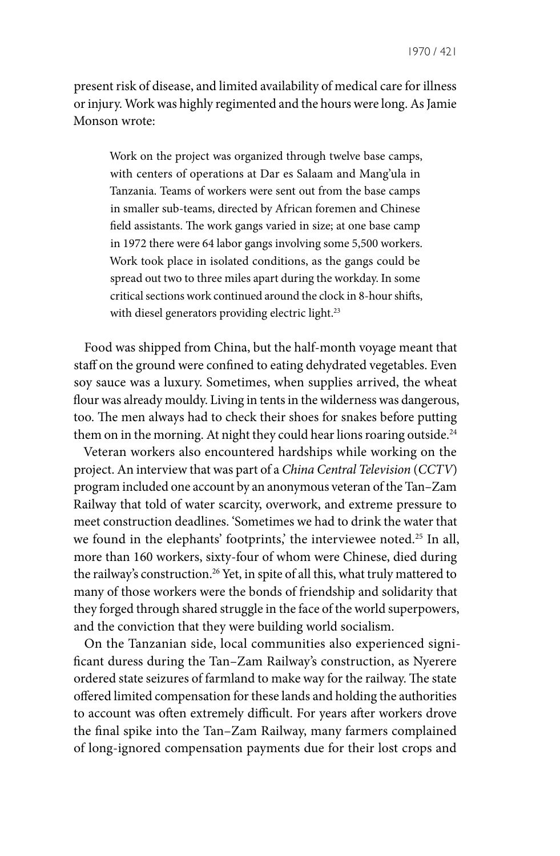present risk of disease, and limited availability of medical care for illness or injury. Work was highly regimented and the hours were long. As Jamie Monson wrote:

Work on the project was organized through twelve base camps, with centers of operations at Dar es Salaam and Mang'ula in Tanzania. Teams of workers were sent out from the base camps in smaller sub-teams, directed by African foremen and Chinese field assistants. The work gangs varied in size; at one base camp in 1972 there were 64 labor gangs involving some 5,500 workers. Work took place in isolated conditions, as the gangs could be spread out two to three miles apart during the workday. In some critical sections work continued around the clock in 8-hour shifts, with diesel generators providing electric light.<sup>23</sup>

Food was shipped from China, but the half-month voyage meant that staff on the ground were confined to eating dehydrated vegetables. Even soy sauce was a luxury. Sometimes, when supplies arrived, the wheat flour was already mouldy. Living in tents in the wilderness was dangerous, too. The men always had to check their shoes for snakes before putting them on in the morning. At night they could hear lions roaring outside.<sup>24</sup>

Veteran workers also encountered hardships while working on the project. An interview that was part of a *China Central Television* (*CCTV*) program included one account by an anonymous veteran of the Tan–Zam Railway that told of water scarcity, overwork, and extreme pressure to meet construction deadlines. 'Sometimes we had to drink the water that we found in the elephants' footprints,' the interviewee noted.<sup>25</sup> In all, more than 160 workers, sixty-four of whom were Chinese, died during the railway's construction.<sup>26</sup> Yet, in spite of all this, what truly mattered to many of those workers were the bonds of friendship and solidarity that they forged through shared struggle in the face of the world superpowers, and the conviction that they were building world socialism.

On the Tanzanian side, local communities also experienced significant duress during the Tan–Zam Railway's construction, as Nyerere ordered state seizures of farmland to make way for the railway. The state offered limited compensation for these lands and holding the authorities to account was often extremely difficult. For years after workers drove the final spike into the Tan–Zam Railway, many farmers complained of long-ignored compensation payments due for their lost crops and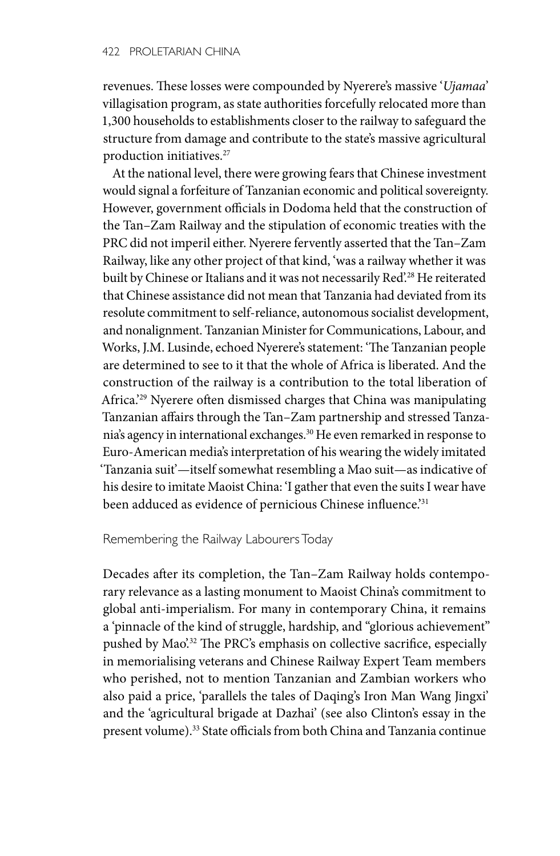revenues. These losses were compounded by Nyerere's massive '*Ujamaa*' villagisation program, as state authorities forcefully relocated more than 1,300 households to establishments closer to the railway to safeguard the structure from damage and contribute to the state's massive agricultural production initiatives.<sup>27</sup>

At the national level, there were growing fears that Chinese investment would signal a forfeiture of Tanzanian economic and political sovereignty. However, government officials in Dodoma held that the construction of the Tan–Zam Railway and the stipulation of economic treaties with the PRC did not imperil either. Nyerere fervently asserted that the Tan–Zam Railway, like any other project of that kind, 'was a railway whether it was built by Chinese or Italians and it was not necessarily Red<sup>228</sup> He reiterated that Chinese assistance did not mean that Tanzania had deviated from its resolute commitment to self-reliance, autonomous socialist development, and nonalignment. Tanzanian Minister for Communications, Labour, and Works, J.M. Lusinde, echoed Nyerere's statement: 'The Tanzanian people are determined to see to it that the whole of Africa is liberated. And the construction of the railway is a contribution to the total liberation of Africa.'29 Nyerere often dismissed charges that China was manipulating Tanzanian affairs through the Tan–Zam partnership and stressed Tanzania's agency in international exchanges.30 He even remarked in response to Euro-American media's interpretation of his wearing the widely imitated 'Tanzania suit'—itself somewhat resembling a Mao suit—as indicative of his desire to imitate Maoist China: 'I gather that even the suits I wear have been adduced as evidence of pernicious Chinese influence.<sup>'31</sup>

### Remembering the Railway Labourers Today

Decades after its completion, the Tan–Zam Railway holds contemporary relevance as a lasting monument to Maoist China's commitment to global anti-imperialism. For many in contemporary China, it remains a 'pinnacle of the kind of struggle, hardship, and "glorious achievement" pushed by Mao<sup>232</sup> The PRC's emphasis on collective sacrifice, especially in memorialising veterans and Chinese Railway Expert Team members who perished, not to mention Tanzanian and Zambian workers who also paid a price, 'parallels the tales of Daqing's Iron Man Wang Jingxi' and the 'agricultural brigade at Dazhai' (see also Clinton's essay in the present volume).33 State officials from both China and Tanzania continue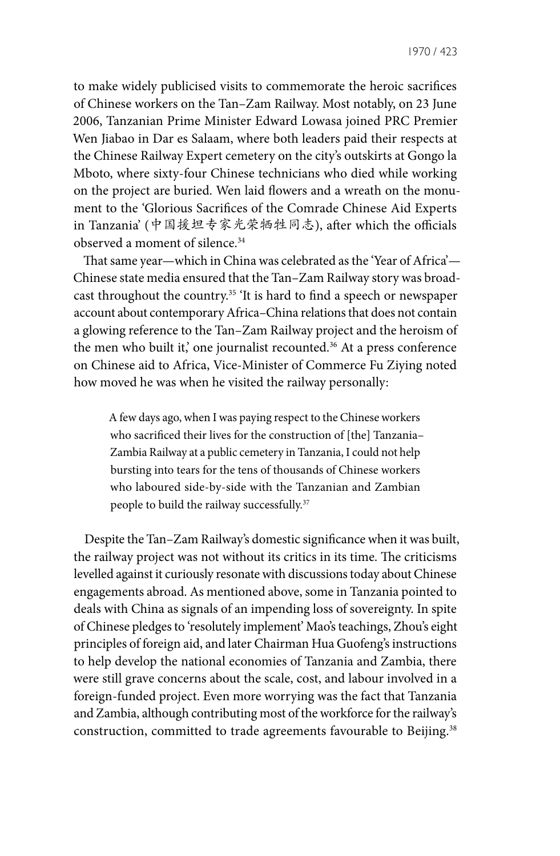to make widely publicised visits to commemorate the heroic sacrifices of Chinese workers on the Tan–Zam Railway. Most notably, on 23 June 2006, Tanzanian Prime Minister Edward Lowasa joined PRC Premier Wen Jiabao in Dar es Salaam, where both leaders paid their respects at the Chinese Railway Expert cemetery on the city's outskirts at Gongo la Mboto, where sixty-four Chinese technicians who died while working on the project are buried. Wen laid flowers and a wreath on the monument to the 'Glorious Sacrifices of the Comrade Chinese Aid Experts in Tanzania' (中国援坦专家光荣牺牲同志), after which the officials observed a moment of silence.<sup>34</sup>

That same year—which in China was celebrated as the 'Year of Africa'— Chinese state media ensured that the Tan–Zam Railway story was broadcast throughout the country.<sup>35</sup> 'It is hard to find a speech or newspaper account about contemporary Africa–China relations that does not contain a glowing reference to the Tan–Zam Railway project and the heroism of the men who built it,' one journalist recounted.<sup>36</sup> At a press conference on Chinese aid to Africa, Vice-Minister of Commerce Fu Ziying noted how moved he was when he visited the railway personally:

A few days ago, when I was paying respect to the Chinese workers who sacrificed their lives for the construction of [the] Tanzania– Zambia Railway at a public cemetery in Tanzania, I could not help bursting into tears for the tens of thousands of Chinese workers who laboured side-by-side with the Tanzanian and Zambian people to build the railway successfully.<sup>37</sup>

Despite the Tan–Zam Railway's domestic significance when it was built, the railway project was not without its critics in its time. The criticisms levelled against it curiously resonate with discussions today about Chinese engagements abroad. As mentioned above, some in Tanzania pointed to deals with China as signals of an impending loss of sovereignty. In spite of Chinese pledges to 'resolutely implement' Mao's teachings, Zhou's eight principles of foreign aid, and later Chairman Hua Guofeng's instructions to help develop the national economies of Tanzania and Zambia, there were still grave concerns about the scale, cost, and labour involved in a foreign-funded project. Even more worrying was the fact that Tanzania and Zambia, although contributing most of the workforce for the railway's construction, committed to trade agreements favourable to Beijing.<sup>38</sup>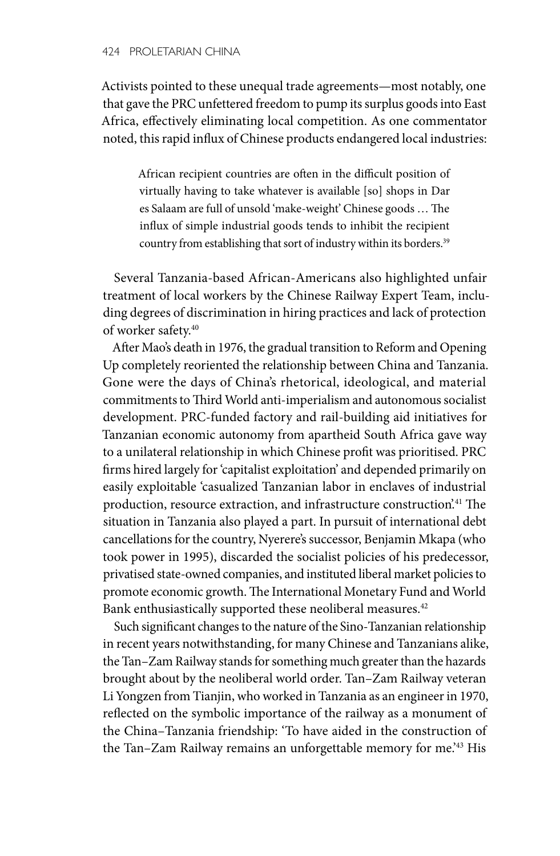Activists pointed to these unequal trade agreements—most notably, one that gave the PRC unfettered freedom to pump its surplus goods into East Africa, effectively eliminating local competition. As one commentator noted, this rapid influx of Chinese products endangered local industries:

African recipient countries are often in the difficult position of virtually having to take whatever is available [so] shops in Dar es Salaam are full of unsold 'make-weight' Chinese goods … The influx of simple industrial goods tends to inhibit the recipient country from establishing that sort of industry within its borders.<sup>39</sup>

Several Tanzania-based African-Americans also highlighted unfair treatment of local workers by the Chinese Railway Expert Team, including degrees of discrimination in hiring practices and lack of protection of worker safety.40

After Mao's death in 1976, the gradual transition to Reform and Opening Up completely reoriented the relationship between China and Tanzania. Gone were the days of China's rhetorical, ideological, and material commitments to Third World anti-imperialism and autonomous socialist development. PRC-funded factory and rail-building aid initiatives for Tanzanian economic autonomy from apartheid South Africa gave way to a unilateral relationship in which Chinese profit was prioritised. PRC firms hired largely for 'capitalist exploitation' and depended primarily on easily exploitable 'casualized Tanzanian labor in enclaves of industrial production, resource extraction, and infrastructure construction'.41 The situation in Tanzania also played a part. In pursuit of international debt cancellations for the country, Nyerere's successor, Benjamin Mkapa (who took power in 1995), discarded the socialist policies of his predecessor, privatised state-owned companies, and instituted liberal market policies to promote economic growth. The International Monetary Fund and World Bank enthusiastically supported these neoliberal measures.<sup>42</sup>

Such significant changes to the nature of the Sino-Tanzanian relationship in recent years notwithstanding, for many Chinese and Tanzanians alike, the Tan–Zam Railway stands for something much greater than the hazards brought about by the neoliberal world order. Tan–Zam Railway veteran Li Yongzen from Tianjin, who worked in Tanzania as an engineer in 1970, reflected on the symbolic importance of the railway as a monument of the China–Tanzania friendship: 'To have aided in the construction of the Tan–Zam Railway remains an unforgettable memory for me.'43 His